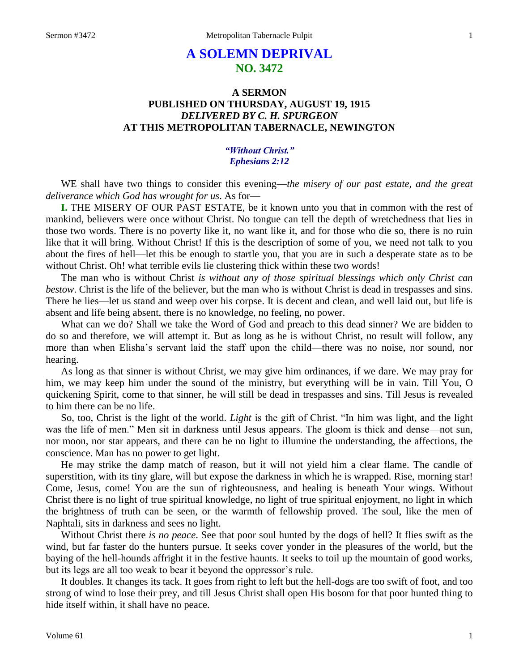# **A SOLEMN DEPRIVAL NO. 3472**

# **A SERMON PUBLISHED ON THURSDAY, AUGUST 19, 1915** *DELIVERED BY C. H. SPURGEON* **AT THIS METROPOLITAN TABERNACLE, NEWINGTON**

# *"Without Christ." Ephesians 2:12*

WE shall have two things to consider this evening—*the misery of our past estate, and the great deliverance which God has wrought for us*. As for—

**I.** THE MISERY OF OUR PAST ESTATE, be it known unto you that in common with the rest of mankind, believers were once without Christ. No tongue can tell the depth of wretchedness that lies in those two words. There is no poverty like it, no want like it, and for those who die so, there is no ruin like that it will bring. Without Christ! If this is the description of some of you, we need not talk to you about the fires of hell—let this be enough to startle you, that you are in such a desperate state as to be without Christ. Oh! what terrible evils lie clustering thick within these two words!

The man who is without Christ *is without any of those spiritual blessings which only Christ can bestow*. Christ is the life of the believer, but the man who is without Christ is dead in trespasses and sins. There he lies—let us stand and weep over his corpse. It is decent and clean, and well laid out, but life is absent and life being absent, there is no knowledge, no feeling, no power.

What can we do? Shall we take the Word of God and preach to this dead sinner? We are bidden to do so and therefore, we will attempt it. But as long as he is without Christ, no result will follow, any more than when Elisha's servant laid the staff upon the child—there was no noise, nor sound, nor hearing.

As long as that sinner is without Christ, we may give him ordinances, if we dare. We may pray for him, we may keep him under the sound of the ministry, but everything will be in vain. Till You, O quickening Spirit, come to that sinner, he will still be dead in trespasses and sins. Till Jesus is revealed to him there can be no life.

So, too, Christ is the light of the world. *Light* is the gift of Christ. "In him was light, and the light was the life of men." Men sit in darkness until Jesus appears. The gloom is thick and dense—not sun, nor moon, nor star appears, and there can be no light to illumine the understanding, the affections, the conscience. Man has no power to get light.

He may strike the damp match of reason, but it will not yield him a clear flame. The candle of superstition, with its tiny glare, will but expose the darkness in which he is wrapped. Rise, morning star! Come, Jesus, come! You are the sun of righteousness, and healing is beneath Your wings. Without Christ there is no light of true spiritual knowledge, no light of true spiritual enjoyment, no light in which the brightness of truth can be seen, or the warmth of fellowship proved. The soul, like the men of Naphtali, sits in darkness and sees no light.

Without Christ there *is no peace*. See that poor soul hunted by the dogs of hell? It flies swift as the wind, but far faster do the hunters pursue. It seeks cover yonder in the pleasures of the world, but the baying of the hell-hounds affright it in the festive haunts. It seeks to toil up the mountain of good works, but its legs are all too weak to bear it beyond the oppressor's rule.

It doubles. It changes its tack. It goes from right to left but the hell-dogs are too swift of foot, and too strong of wind to lose their prey, and till Jesus Christ shall open His bosom for that poor hunted thing to hide itself within, it shall have no peace.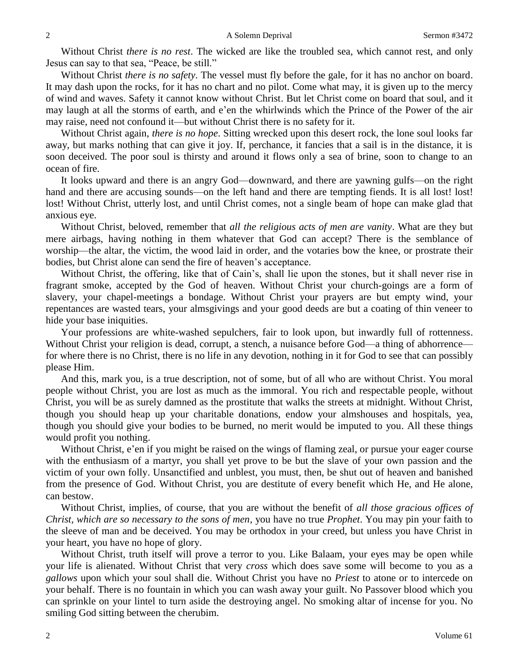Without Christ *there is no rest*. The wicked are like the troubled sea, which cannot rest, and only Jesus can say to that sea, "Peace, be still."

Without Christ *there is no safety*. The vessel must fly before the gale, for it has no anchor on board. It may dash upon the rocks, for it has no chart and no pilot. Come what may, it is given up to the mercy of wind and waves. Safety it cannot know without Christ. But let Christ come on board that soul, and it may laugh at all the storms of earth, and e'en the whirlwinds which the Prince of the Power of the air may raise, need not confound it—but without Christ there is no safety for it.

Without Christ again, *there is no hope*. Sitting wrecked upon this desert rock, the lone soul looks far away, but marks nothing that can give it joy. If, perchance, it fancies that a sail is in the distance, it is soon deceived. The poor soul is thirsty and around it flows only a sea of brine, soon to change to an ocean of fire.

It looks upward and there is an angry God—downward, and there are yawning gulfs—on the right hand and there are accusing sounds—on the left hand and there are tempting fiends. It is all lost! lost! lost! Without Christ, utterly lost, and until Christ comes, not a single beam of hope can make glad that anxious eye.

Without Christ, beloved, remember that *all the religious acts of men are vanity*. What are they but mere airbags, having nothing in them whatever that God can accept? There is the semblance of worship—the altar, the victim, the wood laid in order, and the votaries bow the knee, or prostrate their bodies, but Christ alone can send the fire of heaven's acceptance.

Without Christ, the offering, like that of Cain's, shall lie upon the stones, but it shall never rise in fragrant smoke, accepted by the God of heaven. Without Christ your church-goings are a form of slavery, your chapel-meetings a bondage. Without Christ your prayers are but empty wind, your repentances are wasted tears, your almsgivings and your good deeds are but a coating of thin veneer to hide your base iniquities.

Your professions are white-washed sepulchers, fair to look upon, but inwardly full of rottenness. Without Christ your religion is dead, corrupt, a stench, a nuisance before God—a thing of abhorrence for where there is no Christ, there is no life in any devotion, nothing in it for God to see that can possibly please Him.

And this, mark you, is a true description, not of some, but of all who are without Christ. You moral people without Christ, you are lost as much as the immoral. You rich and respectable people, without Christ, you will be as surely damned as the prostitute that walks the streets at midnight. Without Christ, though you should heap up your charitable donations, endow your almshouses and hospitals, yea, though you should give your bodies to be burned, no merit would be imputed to you. All these things would profit you nothing.

Without Christ, e'en if you might be raised on the wings of flaming zeal, or pursue your eager course with the enthusiasm of a martyr, you shall yet prove to be but the slave of your own passion and the victim of your own folly. Unsanctified and unblest, you must, then, be shut out of heaven and banished from the presence of God. Without Christ, you are destitute of every benefit which He, and He alone, can bestow.

Without Christ, implies, of course, that you are without the benefit of *all those gracious offices of Christ, which are so necessary to the sons of men*, you have no true *Prophet*. You may pin your faith to the sleeve of man and be deceived. You may be orthodox in your creed, but unless you have Christ in your heart, you have no hope of glory.

Without Christ, truth itself will prove a terror to you. Like Balaam, your eyes may be open while your life is alienated. Without Christ that very *cross* which does save some will become to you as a *gallows* upon which your soul shall die. Without Christ you have no *Priest* to atone or to intercede on your behalf. There is no fountain in which you can wash away your guilt. No Passover blood which you can sprinkle on your lintel to turn aside the destroying angel. No smoking altar of incense for you. No smiling God sitting between the cherubim.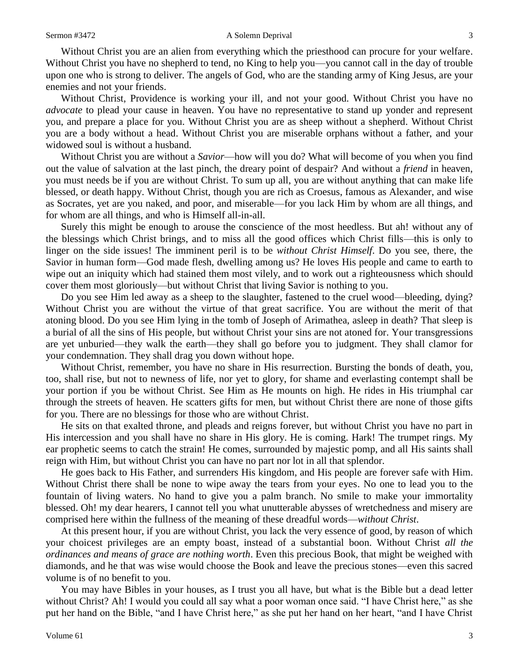#### Sermon #3472 A Solemn Deprival 3

Without Christ you are an alien from everything which the priesthood can procure for your welfare. Without Christ you have no shepherd to tend, no King to help you—you cannot call in the day of trouble upon one who is strong to deliver. The angels of God, who are the standing army of King Jesus, are your enemies and not your friends.

Without Christ, Providence is working your ill, and not your good. Without Christ you have no *advocate* to plead your cause in heaven. You have no representative to stand up yonder and represent you, and prepare a place for you. Without Christ you are as sheep without a shepherd. Without Christ you are a body without a head. Without Christ you are miserable orphans without a father, and your widowed soul is without a husband.

Without Christ you are without a *Savior*—how will you do? What will become of you when you find out the value of salvation at the last pinch, the dreary point of despair? And without a *friend* in heaven, you must needs be if you are without Christ. To sum up all, you are without anything that can make life blessed, or death happy. Without Christ, though you are rich as Croesus, famous as Alexander, and wise as Socrates, yet are you naked, and poor, and miserable—for you lack Him by whom are all things, and for whom are all things, and who is Himself all-in-all.

Surely this might be enough to arouse the conscience of the most heedless. But ah! without any of the blessings which Christ brings, and to miss all the good offices which Christ fills—this is only to linger on the side issues! The imminent peril is to be *without Christ Himself*. Do you see, there, the Savior in human form—God made flesh, dwelling among us? He loves His people and came to earth to wipe out an iniquity which had stained them most vilely, and to work out a righteousness which should cover them most gloriously—but without Christ that living Savior is nothing to you.

Do you see Him led away as a sheep to the slaughter, fastened to the cruel wood—bleeding, dying? Without Christ you are without the virtue of that great sacrifice. You are without the merit of that atoning blood. Do you see Him lying in the tomb of Joseph of Arimathea, asleep in death? That sleep is a burial of all the sins of His people, but without Christ your sins are not atoned for. Your transgressions are yet unburied—they walk the earth—they shall go before you to judgment. They shall clamor for your condemnation. They shall drag you down without hope.

Without Christ, remember, you have no share in His resurrection. Bursting the bonds of death, you, too, shall rise, but not to newness of life, nor yet to glory, for shame and everlasting contempt shall be your portion if you be without Christ. See Him as He mounts on high. He rides in His triumphal car through the streets of heaven. He scatters gifts for men, but without Christ there are none of those gifts for you. There are no blessings for those who are without Christ.

He sits on that exalted throne, and pleads and reigns forever, but without Christ you have no part in His intercession and you shall have no share in His glory. He is coming. Hark! The trumpet rings. My ear prophetic seems to catch the strain! He comes, surrounded by majestic pomp, and all His saints shall reign with Him, but without Christ you can have no part nor lot in all that splendor.

He goes back to His Father, and surrenders His kingdom, and His people are forever safe with Him. Without Christ there shall be none to wipe away the tears from your eyes. No one to lead you to the fountain of living waters. No hand to give you a palm branch. No smile to make your immortality blessed. Oh! my dear hearers, I cannot tell you what unutterable abysses of wretchedness and misery are comprised here within the fullness of the meaning of these dreadful words—*without Christ*.

At this present hour, if you are without Christ, you lack the very essence of good, by reason of which your choicest privileges are an empty boast, instead of a substantial boon. Without Christ *all the ordinances and means of grace are nothing worth*. Even this precious Book, that might be weighed with diamonds, and he that was wise would choose the Book and leave the precious stones—even this sacred volume is of no benefit to you.

You may have Bibles in your houses, as I trust you all have, but what is the Bible but a dead letter without Christ? Ah! I would you could all say what a poor woman once said. "I have Christ here," as she put her hand on the Bible, "and I have Christ here," as she put her hand on her heart, "and I have Christ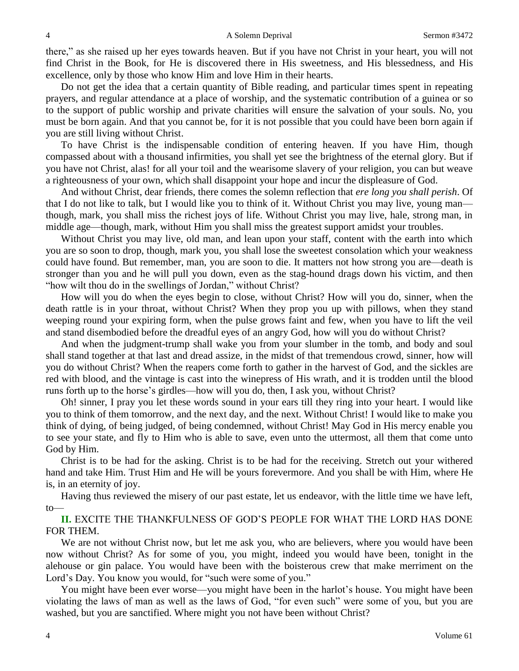there," as she raised up her eyes towards heaven. But if you have not Christ in your heart, you will not find Christ in the Book, for He is discovered there in His sweetness, and His blessedness, and His excellence, only by those who know Him and love Him in their hearts.

Do not get the idea that a certain quantity of Bible reading, and particular times spent in repeating prayers, and regular attendance at a place of worship, and the systematic contribution of a guinea or so to the support of public worship and private charities will ensure the salvation of your souls. No, you must be born again. And that you cannot be, for it is not possible that you could have been born again if you are still living without Christ.

To have Christ is the indispensable condition of entering heaven. If you have Him, though compassed about with a thousand infirmities, you shall yet see the brightness of the eternal glory. But if you have not Christ, alas! for all your toil and the wearisome slavery of your religion, you can but weave a righteousness of your own, which shall disappoint your hope and incur the displeasure of God.

And without Christ, dear friends, there comes the solemn reflection that *ere long you shall perish*. Of that I do not like to talk, but I would like you to think of it. Without Christ you may live, young man though, mark, you shall miss the richest joys of life. Without Christ you may live, hale, strong man, in middle age—though, mark, without Him you shall miss the greatest support amidst your troubles.

Without Christ you may live, old man, and lean upon your staff, content with the earth into which you are so soon to drop, though, mark you, you shall lose the sweetest consolation which your weakness could have found. But remember, man, you are soon to die. It matters not how strong you are—death is stronger than you and he will pull you down, even as the stag-hound drags down his victim, and then "how wilt thou do in the swellings of Jordan," without Christ?

How will you do when the eyes begin to close, without Christ? How will you do, sinner, when the death rattle is in your throat, without Christ? When they prop you up with pillows, when they stand weeping round your expiring form, when the pulse grows faint and few, when you have to lift the veil and stand disembodied before the dreadful eyes of an angry God, how will you do without Christ?

And when the judgment-trump shall wake you from your slumber in the tomb, and body and soul shall stand together at that last and dread assize, in the midst of that tremendous crowd, sinner, how will you do without Christ? When the reapers come forth to gather in the harvest of God, and the sickles are red with blood, and the vintage is cast into the winepress of His wrath, and it is trodden until the blood runs forth up to the horse's girdles—how will you do, then, I ask you, without Christ?

Oh! sinner, I pray you let these words sound in your ears till they ring into your heart. I would like you to think of them tomorrow, and the next day, and the next. Without Christ! I would like to make you think of dying, of being judged, of being condemned, without Christ! May God in His mercy enable you to see your state, and fly to Him who is able to save, even unto the uttermost, all them that come unto God by Him.

Christ is to be had for the asking. Christ is to be had for the receiving. Stretch out your withered hand and take Him. Trust Him and He will be yours forevermore. And you shall be with Him, where He is, in an eternity of joy.

Having thus reviewed the misery of our past estate, let us endeavor, with the little time we have left, to—

**II.** EXCITE THE THANKFULNESS OF GOD'S PEOPLE FOR WHAT THE LORD HAS DONE FOR THEM.

We are not without Christ now, but let me ask you, who are believers, where you would have been now without Christ? As for some of you, you might, indeed you would have been, tonight in the alehouse or gin palace. You would have been with the boisterous crew that make merriment on the Lord's Day. You know you would, for "such were some of you."

You might have been ever worse—you might have been in the harlot's house. You might have been violating the laws of man as well as the laws of God, "for even such" were some of you, but you are washed, but you are sanctified. Where might you not have been without Christ?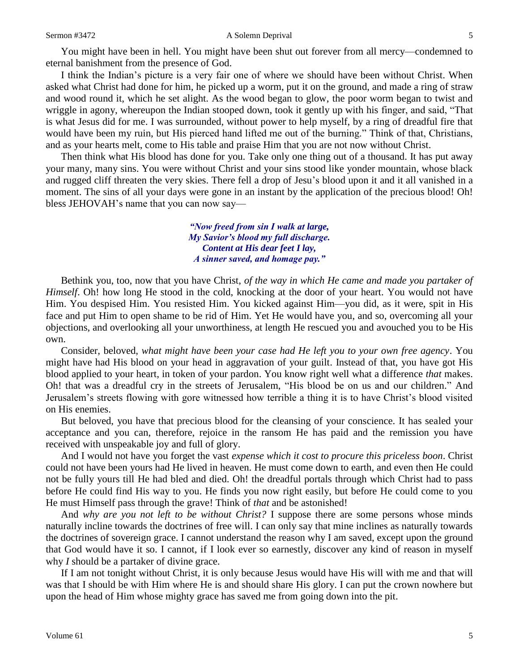#### Sermon #3472 A Solemn Deprival 5

You might have been in hell. You might have been shut out forever from all mercy—condemned to eternal banishment from the presence of God.

I think the Indian's picture is a very fair one of where we should have been without Christ. When asked what Christ had done for him, he picked up a worm, put it on the ground, and made a ring of straw and wood round it, which he set alight. As the wood began to glow, the poor worm began to twist and wriggle in agony, whereupon the Indian stooped down, took it gently up with his finger, and said, "That is what Jesus did for me. I was surrounded, without power to help myself, by a ring of dreadful fire that would have been my ruin, but His pierced hand lifted me out of the burning." Think of that, Christians, and as your hearts melt, come to His table and praise Him that you are not now without Christ.

Then think what His blood has done for you. Take only one thing out of a thousand. It has put away your many, many sins. You were without Christ and your sins stood like yonder mountain, whose black and rugged cliff threaten the very skies. There fell a drop of Jesu's blood upon it and it all vanished in a moment. The sins of all your days were gone in an instant by the application of the precious blood! Oh! bless JEHOVAH's name that you can now say—

> *"Now freed from sin I walk at large, My Savior's blood my full discharge. Content at His dear feet I lay, A sinner saved, and homage pay."*

Bethink you, too, now that you have Christ, *of the way in which He came and made you partaker of Himself.* Oh! how long He stood in the cold, knocking at the door of your heart. You would not have Him. You despised Him. You resisted Him. You kicked against Him—you did, as it were, spit in His face and put Him to open shame to be rid of Him. Yet He would have you, and so, overcoming all your objections, and overlooking all your unworthiness, at length He rescued you and avouched you to be His own.

Consider, beloved, *what might have been your case had He left you to your own free agency*. You might have had His blood on your head in aggravation of your guilt. Instead of that, you have got His blood applied to your heart, in token of your pardon. You know right well what a difference *that* makes. Oh! that was a dreadful cry in the streets of Jerusalem, "His blood be on us and our children." And Jerusalem's streets flowing with gore witnessed how terrible a thing it is to have Christ's blood visited on His enemies.

But beloved, you have that precious blood for the cleansing of your conscience. It has sealed your acceptance and you can, therefore, rejoice in the ransom He has paid and the remission you have received with unspeakable joy and full of glory.

And I would not have you forget the vast *expense which it cost to procure this priceless boon*. Christ could not have been yours had He lived in heaven. He must come down to earth, and even then He could not be fully yours till He had bled and died. Oh! the dreadful portals through which Christ had to pass before He could find His way to you. He finds you now right easily, but before He could come to you He must Himself pass through the grave! Think of *that* and be astonished!

And *why are you not left to be without Christ?* I suppose there are some persons whose minds naturally incline towards the doctrines of free will. I can only say that mine inclines as naturally towards the doctrines of sovereign grace. I cannot understand the reason why I am saved, except upon the ground that God would have it so. I cannot, if I look ever so earnestly, discover any kind of reason in myself why *I* should be a partaker of divine grace.

If I am not tonight without Christ, it is only because Jesus would have His will with me and that will was that I should be with Him where He is and should share His glory. I can put the crown nowhere but upon the head of Him whose mighty grace has saved me from going down into the pit.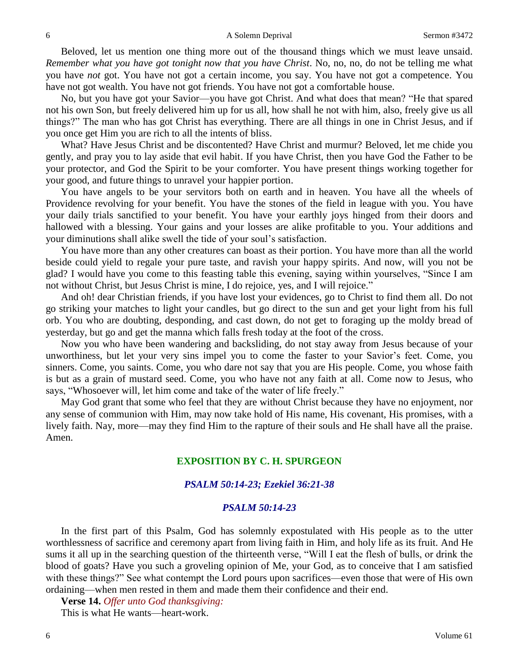Beloved, let us mention one thing more out of the thousand things which we must leave unsaid. *Remember what you have got tonight now that you have Christ*. No, no, no, do not be telling me what you have *not* got. You have not got a certain income, you say. You have not got a competence. You have not got wealth. You have not got friends. You have not got a comfortable house.

No, but you have got your Savior—you have got Christ. And what does that mean? "He that spared not his own Son, but freely delivered him up for us all, how shall he not with him, also, freely give us all things?" The man who has got Christ has everything. There are all things in one in Christ Jesus, and if you once get Him you are rich to all the intents of bliss.

What? Have Jesus Christ and be discontented? Have Christ and murmur? Beloved, let me chide you gently, and pray you to lay aside that evil habit. If you have Christ, then you have God the Father to be your protector, and God the Spirit to be your comforter. You have present things working together for your good, and future things to unravel your happier portion.

You have angels to be your servitors both on earth and in heaven. You have all the wheels of Providence revolving for your benefit. You have the stones of the field in league with you. You have your daily trials sanctified to your benefit. You have your earthly joys hinged from their doors and hallowed with a blessing. Your gains and your losses are alike profitable to you. Your additions and your diminutions shall alike swell the tide of your soul's satisfaction.

You have more than any other creatures can boast as their portion. You have more than all the world beside could yield to regale your pure taste, and ravish your happy spirits. And now, will you not be glad? I would have you come to this feasting table this evening, saying within yourselves, "Since I am not without Christ, but Jesus Christ is mine, I do rejoice, yes, and I will rejoice."

And oh! dear Christian friends, if you have lost your evidences, go to Christ to find them all. Do not go striking your matches to light your candles, but go direct to the sun and get your light from his full orb. You who are doubting, desponding, and cast down, do not get to foraging up the moldy bread of yesterday, but go and get the manna which falls fresh today at the foot of the cross.

Now you who have been wandering and backsliding, do not stay away from Jesus because of your unworthiness, but let your very sins impel you to come the faster to your Savior's feet. Come, you sinners. Come, you saints. Come, you who dare not say that you are His people. Come, you whose faith is but as a grain of mustard seed. Come, you who have not any faith at all. Come now to Jesus, who says, "Whosoever will, let him come and take of the water of life freely."

May God grant that some who feel that they are without Christ because they have no enjoyment, nor any sense of communion with Him, may now take hold of His name, His covenant, His promises, with a lively faith. Nay, more—may they find Him to the rapture of their souls and He shall have all the praise. Amen.

# **EXPOSITION BY C. H. SPURGEON**

### *PSALM 50:14-23; Ezekiel 36:21-38*

### *PSALM 50:14-23*

In the first part of this Psalm, God has solemnly expostulated with His people as to the utter worthlessness of sacrifice and ceremony apart from living faith in Him, and holy life as its fruit. And He sums it all up in the searching question of the thirteenth verse, "Will I eat the flesh of bulls, or drink the blood of goats? Have you such a groveling opinion of Me, your God, as to conceive that I am satisfied with these things?" See what contempt the Lord pours upon sacrifices—even those that were of His own ordaining—when men rested in them and made them their confidence and their end.

**Verse 14.** *Offer unto God thanksgiving:*

This is what He wants—heart-work.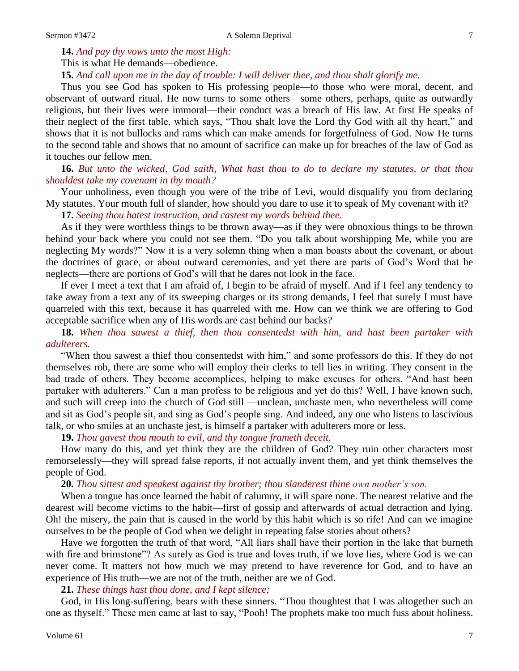**14.** *And pay thy vows unto the most High:* This is what He demands—obedience.

**15.** *And call upon me in the day of trouble: I will deliver thee, and thou shalt glorify me.* 

Thus you see God has spoken to His professing people—to those who were moral, decent, and observant of outward ritual. He now turns to some others—some others, perhaps, quite as outwardly religious, but their lives were immoral—their conduct was a breach of His law. At first He speaks of their neglect of the first table, which says, "Thou shalt love the Lord thy God with all thy heart," and shows that it is not bullocks and rams which can make amends for forgetfulness of God. Now He turns to the second table and shows that no amount of sacrifice can make up for breaches of the law of God as it touches our fellow men.

**16.** *But unto the wicked, God saith, What hast thou to do to declare my statutes, or that thou shouldest take my covenant in thy mouth?* 

Your unholiness, even though you were of the tribe of Levi, would disqualify you from declaring My statutes. Your mouth full of slander, how should you dare to use it to speak of My covenant with it?

**17.** *Seeing thou hatest instruction, and castest my words behind thee.* 

As if they were worthless things to be thrown away—as if they were obnoxious things to be thrown behind your back where you could not see them. "Do you talk about worshipping Me, while you are neglecting My words?" Now it is a very solemn thing when a man boasts about the covenant, or about the doctrines of grace, or about outward ceremonies, and yet there are parts of God's Word that he neglects—there are portions of God's will that he dares not look in the face.

If ever I meet a text that I am afraid of, I begin to be afraid of myself. And if I feel any tendency to take away from a text any of its sweeping charges or its strong demands, I feel that surely I must have quarreled with this text, because it has quarreled with me. How can we think we are offering to God acceptable sacrifice when any of His words are cast behind our backs?

**18.** *When thou sawest a thief, then thou consentedst with him, and hast been partaker with adulterers.* 

"When thou sawest a thief thou consentedst with him," and some professors do this. If they do not themselves rob, there are some who will employ their clerks to tell lies in writing. They consent in the bad trade of others. They become accomplices, helping to make excuses for others. "And hast been partaker with adulterers." Can a man profess to be religious and yet do this? Well, I have known such, and such will creep into the church of God still —unclean, unchaste men, who nevertheless will come and sit as God's people sit, and sing as God's people sing. And indeed, any one who listens to lascivious talk, or who smiles at an unchaste jest, is himself a partaker with adulterers more or less.

**19.** *Thou gavest thou mouth to evil, and thy tongue frameth deceit.* 

How many do this, and yet think they are the children of God? They ruin other characters most remorselessly—they will spread false reports, if not actually invent them, and yet think themselves the people of God.

**20.** *Thou sittest and speakest against thy brother; thou slanderest thine own mother's son.* 

When a tongue has once learned the habit of calumny, it will spare none. The nearest relative and the dearest will become victims to the habit—first of gossip and afterwards of actual detraction and lying. Oh! the misery, the pain that is caused in the world by this habit which is so rife! And can we imagine ourselves to be the people of God when we delight in repeating false stories about others?

Have we forgotten the truth of that word, "All liars shall have their portion in the lake that burneth with fire and brimstone"? As surely as God is true and loves truth, if we love lies, where God is we can never come. It matters not how much we may pretend to have reverence for God, and to have an experience of His truth—we are not of the truth, neither are we of God.

**21.** *These things hast thou done, and I kept silence;*

God, in His long-suffering, bears with these sinners. "Thou thoughtest that I was altogether such an one as thyself." These men came at last to say, "Pooh! The prophets make too much fuss about holiness.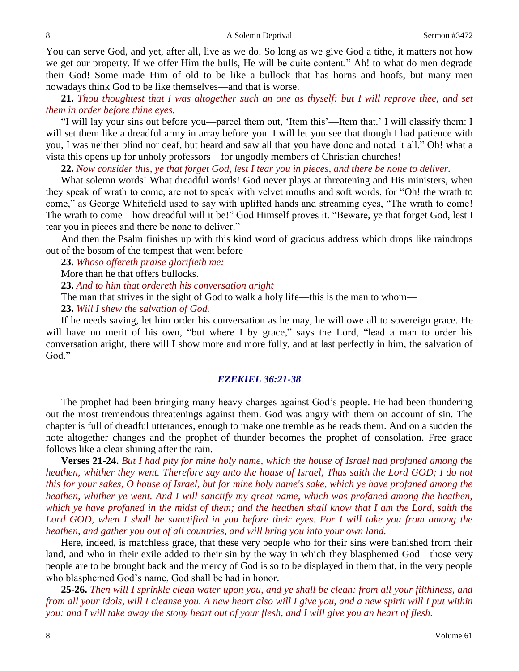You can serve God, and yet, after all, live as we do. So long as we give God a tithe, it matters not how we get our property. If we offer Him the bulls, He will be quite content." Ah! to what do men degrade their God! Some made Him of old to be like a bullock that has horns and hoofs, but many men nowadays think God to be like themselves—and that is worse.

**21.** *Thou thoughtest that I was altogether such an one as thyself: but I will reprove thee, and set them in order before thine eyes.* 

"I will lay your sins out before you—parcel them out, 'Item this'—Item that.' I will classify them: I will set them like a dreadful army in array before you. I will let you see that though I had patience with you, I was neither blind nor deaf, but heard and saw all that you have done and noted it all." Oh! what a vista this opens up for unholy professors—for ungodly members of Christian churches!

**22.** *Now consider this, ye that forget God, lest I tear you in pieces, and there be none to deliver.* 

What solemn words! What dreadful words! God never plays at threatening and His ministers, when they speak of wrath to come, are not to speak with velvet mouths and soft words, for "Oh! the wrath to come," as George Whitefield used to say with uplifted hands and streaming eyes, "The wrath to come! The wrath to come—how dreadful will it be!" God Himself proves it. "Beware, ye that forget God, lest I tear you in pieces and there be none to deliver."

And then the Psalm finishes up with this kind word of gracious address which drops like raindrops out of the bosom of the tempest that went before—

**23.** *Whoso offereth praise glorifieth me:*

More than he that offers bullocks.

**23.** *And to him that ordereth his conversation aright—*

The man that strives in the sight of God to walk a holy life—this is the man to whom—

**23.** *Will I shew the salvation of God.* 

If he needs saving, let him order his conversation as he may, he will owe all to sovereign grace. He will have no merit of his own, "but where I by grace," says the Lord, "lead a man to order his conversation aright, there will I show more and more fully, and at last perfectly in him, the salvation of God."

## *EZEKIEL 36:21-38*

The prophet had been bringing many heavy charges against God's people. He had been thundering out the most tremendous threatenings against them. God was angry with them on account of sin. The chapter is full of dreadful utterances, enough to make one tremble as he reads them. And on a sudden the note altogether changes and the prophet of thunder becomes the prophet of consolation. Free grace follows like a clear shining after the rain.

**Verses 21-24.** *But I had pity for mine holy name, which the house of Israel had profaned among the heathen, whither they went. Therefore say unto the house of Israel, Thus saith the Lord GOD; I do not this for your sakes, O house of Israel, but for mine holy name's sake, which ye have profaned among the heathen, whither ye went. And I will sanctify my great name, which was profaned among the heathen, which ye have profaned in the midst of them; and the heathen shall know that I am the Lord, saith the*  Lord GOD, when I shall be sanctified in you before their eyes. For I will take you from among the *heathen, and gather you out of all countries, and will bring you into your own land.*

Here, indeed, is matchless grace, that these very people who for their sins were banished from their land, and who in their exile added to their sin by the way in which they blasphemed God—those very people are to be brought back and the mercy of God is so to be displayed in them that, in the very people who blasphemed God's name, God shall be had in honor.

**25-26.** *Then will I sprinkle clean water upon you, and ye shall be clean: from all your filthiness, and from all your idols, will I cleanse you. A new heart also will I give you, and a new spirit will I put within you: and I will take away the stony heart out of your flesh, and I will give you an heart of flesh.*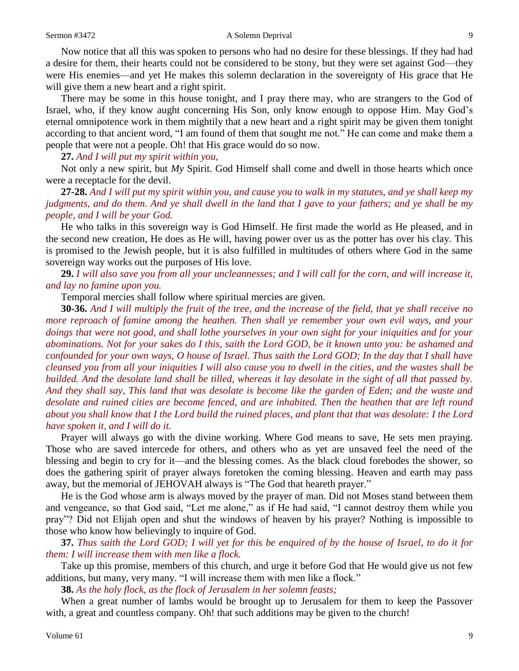Now notice that all this was spoken to persons who had no desire for these blessings. If they had had a desire for them, their hearts could not be considered to be stony, but they were set against God—they were His enemies—and yet He makes this solemn declaration in the sovereignty of His grace that He will give them a new heart and a right spirit.

There may be some in this house tonight, and I pray there may, who are strangers to the God of Israel, who, if they know aught concerning His Son, only know enough to oppose Him. May God's eternal omnipotence work in them mightily that a new heart and a right spirit may be given them tonight according to that ancient word, "I am found of them that sought me not." He can come and make them a people that were not a people. Oh! that His grace would do so now.

**27.** *And I will put my spirit within you,*

Not only a new spirit, but *My* Spirit. God Himself shall come and dwell in those hearts which once were a receptacle for the devil.

**27-28.** *And I will put my spirit within you, and cause you to walk in my statutes, and ye shall keep my judgments, and do them. And ye shall dwell in the land that I gave to your fathers; and ye shall be my people, and I will be your God.*

He who talks in this sovereign way is God Himself. He first made the world as He pleased, and in the second new creation, He does as He will, having power over us as the potter has over his clay. This is promised to the Jewish people, but it is also fulfilled in multitudes of others where God in the same sovereign way works out the purposes of His love.

**29.** *I will also save you from all your uncleannesses; and I will call for the corn, and will increase it, and lay no famine upon you.* 

Temporal mercies shall follow where spiritual mercies are given.

**30-36.** *And I will multiply the fruit of the tree, and the increase of the field, that ye shall receive no more reproach of famine among the heathen. Then shall ye remember your own evil ways, and your doings that were not good, and shall lothe yourselves in your own sight for your iniquities and for your abominations. Not for your sakes do I this, saith the Lord GOD, be it known unto you: be ashamed and confounded for your own ways, O house of Israel. Thus saith the Lord GOD; In the day that I shall have cleansed you from all your iniquities I will also cause you to dwell in the cities, and the wastes shall be builded. And the desolate land shall be tilled, whereas it lay desolate in the sight of all that passed by. And they shall say, This land that was desolate is become like the garden of Eden; and the waste and desolate and ruined cities are become fenced, and are inhabited. Then the heathen that are left round about you shall know that I the Lord build the ruined places, and plant that that was desolate: I the Lord have spoken it, and I will do it.*

Prayer will always go with the divine working. Where God means to save, He sets men praying. Those who are saved intercede for others, and others who as yet are unsaved feel the need of the blessing and begin to cry for it—and the blessing comes. As the black cloud forebodes the shower, so does the gathering spirit of prayer always foretoken the coming blessing. Heaven and earth may pass away, but the memorial of JEHOVAH always is "The God that heareth prayer."

He is the God whose arm is always moved by the prayer of man. Did not Moses stand between them and vengeance, so that God said, "Let me alone," as if He had said, "I cannot destroy them while you pray"? Did not Elijah open and shut the windows of heaven by his prayer? Nothing is impossible to those who know how believingly to inquire of God.

**37.** *Thus saith the Lord GOD; I will yet for this be enquired of by the house of Israel, to do it for them: I will increase them with men like a flock.* 

Take up this promise, members of this church, and urge it before God that He would give us not few additions, but many, very many. "I will increase them with men like a flock."

**38.** *As the holy flock, as the flock of Jerusalem in her solemn feasts;*

When a great number of lambs would be brought up to Jerusalem for them to keep the Passover with, a great and countless company. Oh! that such additions may be given to the church!